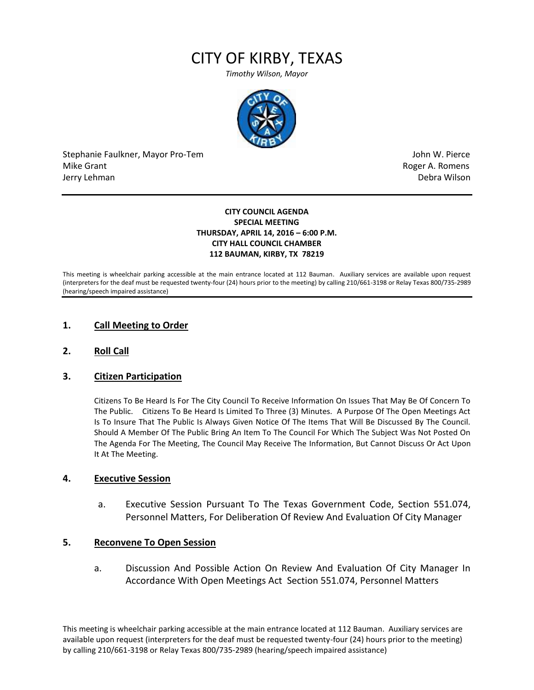# CITY OF KIRBY, TEXAS

*Timothy Wilson, Mayor*



Stephanie Faulkner, Mayor Pro-Tem John W. Pierce Mike Grant **Mike Grant** Roger A. Romens and American control of the Mike A. Romens and American control of the Mi Jerry Lehman Debra Wilson (2008) and the state of the state of the state of the state of the state of the state of the state of the state of the state of the state of the state of the state of the state of the state of the

#### **CITY COUNCIL AGENDA SPECIAL MEETING THURSDAY, APRIL 14, 2016 – 6:00 P.M. CITY HALL COUNCIL CHAMBER 112 BAUMAN, KIRBY, TX 78219**

This meeting is wheelchair parking accessible at the main entrance located at 112 Bauman. Auxiliary services are available upon request (interpreters for the deaf must be requested twenty-four (24) hours prior to the meeting) by calling 210/661-3198 or Relay Texas 800/735-2989 (hearing/speech impaired assistance)

## **1. Call Meeting to Order**

**2. Roll Call**

## **3. Citizen Participation**

Citizens To Be Heard Is For The City Council To Receive Information On Issues That May Be Of Concern To The Public. Citizens To Be Heard Is Limited To Three (3) Minutes. A Purpose Of The Open Meetings Act Is To Insure That The Public Is Always Given Notice Of The Items That Will Be Discussed By The Council. Should A Member Of The Public Bring An Item To The Council For Which The Subject Was Not Posted On The Agenda For The Meeting, The Council May Receive The Information, But Cannot Discuss Or Act Upon It At The Meeting.

### **4. Executive Session**

a. Executive Session Pursuant To The Texas Government Code, Section 551.074, Personnel Matters, For Deliberation Of Review And Evaluation Of City Manager

### **5. Reconvene To Open Session**

a. Discussion And Possible Action On Review And Evaluation Of City Manager In Accordance With Open Meetings Act Section 551.074, Personnel Matters

This meeting is wheelchair parking accessible at the main entrance located at 112 Bauman. Auxiliary services are available upon request (interpreters for the deaf must be requested twenty-four (24) hours prior to the meeting) by calling 210/661-3198 or Relay Texas 800/735-2989 (hearing/speech impaired assistance)